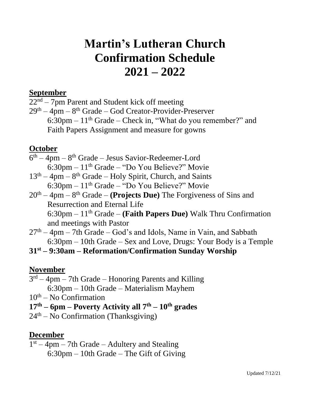# **Martin's Lutheran Church Confirmation Schedule 2021 – 2022**

### **September**

 $22<sup>nd</sup> - 7<sub>pm</sub>$  Parent and Student kick off meeting

29<sup>th</sup> – 4pm – 8<sup>th</sup> Grade – God Creator-Provider-Preserver  $6:30 \text{pm} - 11^{\text{th}}$  Grade – Check in, "What do you remember?" and Faith Papers Assignment and measure for gowns

# **October**

- $6<sup>th</sup> 4pm 8<sup>th</sup>$  Grade Jesus Savior-Redeemer-Lord  $6:30 \text{pm} - 11^{\text{th}}$  Grade – "Do You Believe?" Movie
- $13<sup>th</sup> 4pm 8<sup>th</sup>$  Grade Holy Spirit, Church, and Saints 6:30pm – 11th Grade – "Do You Believe?" Movie
- 20th 4pm 8 th Grade **(Projects Due)** The Forgiveness of Sins and Resurrection and Eternal Life 6:30pm – 11th Grade – **(Faith Papers Due)** Walk Thru Confirmation and meetings with Pastor
- $27<sup>th</sup> 4<sup>pm</sup> 7<sup>th</sup>$  Grade God's and Idols, Name in Vain, and Sabbath 6:30pm – 10th Grade – Sex and Love, Drugs: Your Body is a Temple

# **31st – 9:30am – Reformation/Confirmation Sunday Worship**

# **November**

- $3<sup>rd</sup> 4<sup>pm</sup> 7<sup>th</sup>$  Grade Honoring Parents and Killing 6:30pm – 10th Grade – Materialism Mayhem
- $10<sup>th</sup> No$  Confirmation
- **17 th – 6pm – Poverty Activity all 7th – 10th grades**
- 24<sup>th</sup> No Confirmation (Thanksgiving)

# **December**

1 st – 4pm – 7th Grade – Adultery and Stealing 6:30pm – 10th Grade – The Gift of Giving